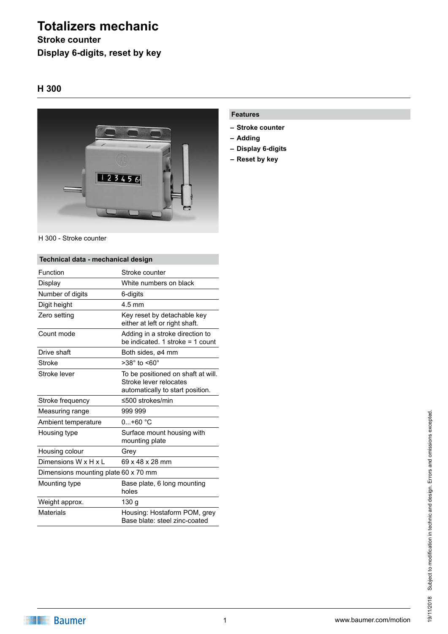# **Totalizers mechanic**

### **Stroke counter Display 6-digits, reset by key**

### **H 300**



H 300 - Stroke counter

#### **Technical data - mechanical design** Function Stroke counter Display White numbers on black Number of digits 6-digits Digit height 4.5 mm Zero setting Key reset by detachable key either at left or right shaft. Count mode **Adding in a stroke direction to** be indicated. 1 stroke = 1 count Drive shaft Both sides, ø4 mm Stroke  $>38^\circ$  to  $<60^\circ$ Stroke lever To be positioned on shaft at will. Stroke lever relocates automatically to start position. Stroke frequency ≤500 strokes/min Measuring range 999 999 Ambient temperature 0...+60 °C Housing type **Surface mount housing with** mounting plate Housing colour Grey Dimensions  $W \times H \times L$  69 x 48 x 28 mm Dimensions mounting plate 60 x 70 mm Mounting type **Base plate, 6 long mounting** holes Weight approx. 130 g Materials **Housing: Hostaform POM, grey** Base blate: steel zinc-coated

#### **Features**

- **– Stroke counter**
- **– Adding**
- **– Display 6-digits**
- **– Reset by key**